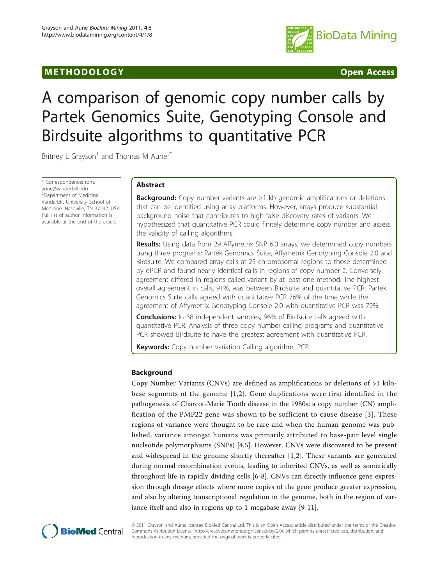# M E THODO LOGY Open Access



# A comparison of genomic copy number calls by Partek Genomics Suite, Genotyping Console and Birdsuite algorithms to quantitative PCR

Britney L Grayson<sup>1</sup> and Thomas M Aune<sup>2\*</sup>

\* Correspondence: [tom.](mailto:tom.aune@vanderbilt.edu) [aune@vanderbilt.edu](mailto:tom.aune@vanderbilt.edu) <sup>2</sup>Department of Medicine, Vanderbilt University School of Medicine, Nashville, TN 37232, USA Full list of author information is available at the end of the article

# Abstract

**Background:** Copy number variants are >1 kb genomic amplifications or deletions that can be identified using array platforms. However, arrays produce substantial background noise that contributes to high false discovery rates of variants. We hypothesized that quantitative PCR could finitely determine copy number and assess the validity of calling algorithms.

Results: Using data from 29 Affymetrix SNP 6.0 arrays, we determined copy numbers using three programs: Partek Genomics Suite, Affymetrix Genotyping Console 2.0 and Birdsuite. We compared array calls at 25 chromosomal regions to those determined by qPCR and found nearly identical calls in regions of copy number 2. Conversely, agreement differed in regions called variant by at least one method. The highest overall agreement in calls, 91%, was between Birdsuite and quantitative PCR. Partek Genomics Suite calls agreed with quantitative PCR 76% of the time while the agreement of Affymetrix Genotyping Console 2.0 with quantitative PCR was 79%.

**Conclusions:** In 38 independent samples, 96% of Birdsuite calls agreed with quantitative PCR. Analysis of three copy number calling programs and quantitative PCR showed Birdsuite to have the greatest agreement with quantitative PCR.

**Keywords:** Copy number variation Calling algorithm, PCR

# Background

Copy Number Variants (CNVs) are defined as amplifications or deletions of >1 kilobase segments of the genome [[1](#page-9-0),[2](#page-9-0)]. Gene duplications were first identified in the pathogenesis of Charcot-Marie Tooth disease in the 1980s; a copy number (CN) amplification of the PMP22 gene was shown to be sufficient to cause disease [[3\]](#page-9-0). These regions of variance were thought to be rare and when the human genome was published, variance amongst humans was primarily attributed to base-pair level single nucleotide polymorphisms (SNPs) [\[4,5\]](#page-10-0). However, CNVs were discovered to be present and widespread in the genome shortly thereafter [[1,2\]](#page-9-0). These variants are generated during normal recombination events, leading to inherited CNVs, as well as somatically throughout life in rapidly dividing cells [[6-8](#page-10-0)]. CNVs can directly influence gene expression through dosage effects where more copies of the gene produce greater expression, and also by altering transcriptional regulation in the genome, both in the region of variance itself and also in regions up to 1 megabase away [[9-11\]](#page-10-0).



© 2011 Grayson and Aune; licensee BioMed Central Ltd. This is an Open Access article distributed under the terms of the Creative Commons Attribution License [\(http://creativecommons.org/licenses/by/2.0](http://creativecommons.org/licenses/by/2.0)), which permits unrestricted use, distribution, and reproduction in any medium, provided the original work is properly cited.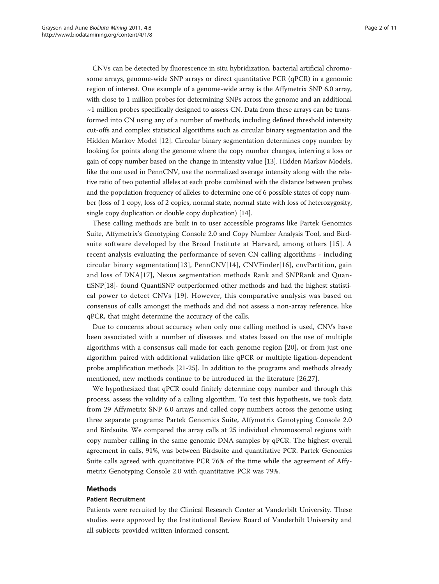CNVs can be detected by fluorescence in situ hybridization, bacterial artificial chromosome arrays, genome-wide SNP arrays or direct quantitative PCR (qPCR) in a genomic region of interest. One example of a genome-wide array is the Affymetrix SNP 6.0 array, with close to 1 million probes for determining SNPs across the genome and an additional  $\sim$ 1 million probes specifically designed to assess CN. Data from these arrays can be transformed into CN using any of a number of methods, including defined threshold intensity cut-offs and complex statistical algorithms such as circular binary segmentation and the Hidden Markov Model [\[12](#page-10-0)]. Circular binary segmentation determines copy number by looking for points along the genome where the copy number changes, inferring a loss or gain of copy number based on the change in intensity value [\[13\]](#page-10-0). Hidden Markov Models, like the one used in PennCNV, use the normalized average intensity along with the relative ratio of two potential alleles at each probe combined with the distance between probes and the population frequency of alleles to determine one of 6 possible states of copy number (loss of 1 copy, loss of 2 copies, normal state, normal state with loss of heterozygosity, single copy duplication or double copy duplication) [[14](#page-10-0)].

These calling methods are built in to user accessible programs like Partek Genomics Suite, Affymetrix's Genotyping Console 2.0 and Copy Number Analysis Tool, and Birdsuite software developed by the Broad Institute at Harvard, among others [[15](#page-10-0)]. A recent analysis evaluating the performance of seven CN calling algorithms - including circular binary segmentation[[13\]](#page-10-0), PennCNV[\[14\]](#page-10-0), CNVFinder[\[16](#page-10-0)], cnvPartition, gain and loss of DNA[[17\]](#page-10-0), Nexus segmentation methods Rank and SNPRank and QuantiSNP[\[18](#page-10-0)]- found QuantiSNP outperformed other methods and had the highest statistical power to detect CNVs [[19](#page-10-0)]. However, this comparative analysis was based on consensus of calls amongst the methods and did not assess a non-array reference, like qPCR, that might determine the accuracy of the calls.

Due to concerns about accuracy when only one calling method is used, CNVs have been associated with a number of diseases and states based on the use of multiple algorithms with a consensus call made for each genome region [[20\]](#page-10-0), or from just one algorithm paired with additional validation like qPCR or multiple ligation-dependent probe amplification methods [\[21](#page-10-0)-[25](#page-10-0)]. In addition to the programs and methods already mentioned, new methods continue to be introduced in the literature [\[26,27\]](#page-10-0).

We hypothesized that qPCR could finitely determine copy number and through this process, assess the validity of a calling algorithm. To test this hypothesis, we took data from 29 Affymetrix SNP 6.0 arrays and called copy numbers across the genome using three separate programs: Partek Genomics Suite, Affymetrix Genotyping Console 2.0 and Birdsuite. We compared the array calls at 25 individual chromosomal regions with copy number calling in the same genomic DNA samples by qPCR. The highest overall agreement in calls, 91%, was between Birdsuite and quantitative PCR. Partek Genomics Suite calls agreed with quantitative PCR 76% of the time while the agreement of Affymetrix Genotyping Console 2.0 with quantitative PCR was 79%.

# Methods

#### Patient Recruitment

Patients were recruited by the Clinical Research Center at Vanderbilt University. These studies were approved by the Institutional Review Board of Vanderbilt University and all subjects provided written informed consent.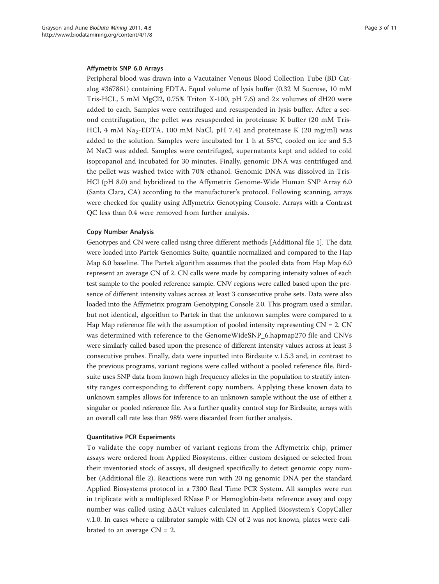## Affymetrix SNP 6.0 Arrays

Peripheral blood was drawn into a Vacutainer Venous Blood Collection Tube (BD Catalog #367861) containing EDTA. Equal volume of lysis buffer (0.32 M Sucrose, 10 mM Tris-HCL, 5 mM MgCl2, 0.75% Triton X-100, pH 7.6) and 2 $\times$  volumes of dH20 were added to each. Samples were centrifuged and resuspended in lysis buffer. After a second centrifugation, the pellet was resuspended in proteinase K buffer (20 mM Tris-HCl, 4 mM Na<sub>2</sub>-EDTA, 100 mM NaCl, pH 7.4) and proteinase K (20 mg/ml) was added to the solution. Samples were incubated for 1 h at 55°C, cooled on ice and 5.3 M NaCl was added. Samples were centrifuged, supernatants kept and added to cold isopropanol and incubated for 30 minutes. Finally, genomic DNA was centrifuged and the pellet was washed twice with 70% ethanol. Genomic DNA was dissolved in Tris-HCl (pH 8.0) and hybridized to the Affymetrix Genome-Wide Human SNP Array 6.0 (Santa Clara, CA) according to the manufacturer's protocol. Following scanning, arrays were checked for quality using Affymetrix Genotyping Console. Arrays with a Contrast QC less than 0.4 were removed from further analysis.

## Copy Number Analysis

Genotypes and CN were called using three different methods [Additional file [1](#page-9-0)]. The data were loaded into Partek Genomics Suite, quantile normalized and compared to the Hap Map 6.0 baseline. The Partek algorithm assumes that the pooled data from Hap Map 6.0 represent an average CN of 2. CN calls were made by comparing intensity values of each test sample to the pooled reference sample. CNV regions were called based upon the presence of different intensity values across at least 3 consecutive probe sets. Data were also loaded into the Affymetrix program Genotyping Console 2.0. This program used a similar, but not identical, algorithm to Partek in that the unknown samples were compared to a Hap Map reference file with the assumption of pooled intensity representing  $CN = 2$ . CN was determined with reference to the GenomeWideSNP\_6.hapmap270 file and CNVs were similarly called based upon the presence of different intensity values across at least 3 consecutive probes. Finally, data were inputted into Birdsuite v.1.5.3 and, in contrast to the previous programs, variant regions were called without a pooled reference file. Birdsuite uses SNP data from known high frequency alleles in the population to stratify intensity ranges corresponding to different copy numbers. Applying these known data to unknown samples allows for inference to an unknown sample without the use of either a singular or pooled reference file. As a further quality control step for Birdsuite, arrays with an overall call rate less than 98% were discarded from further analysis.

## Quantitative PCR Experiments

To validate the copy number of variant regions from the Affymetrix chip, primer assays were ordered from Applied Biosystems, either custom designed or selected from their inventoried stock of assays, all designed specifically to detect genomic copy number (Additional file [2](#page-9-0)). Reactions were run with 20 ng genomic DNA per the standard Applied Biosystems protocol in a 7300 Real Time PCR System. All samples were run in triplicate with a multiplexed RNase P or Hemoglobin-beta reference assay and copy number was called using ΔΔCt values calculated in Applied Biosystem's CopyCaller v.1.0. In cases where a calibrator sample with CN of 2 was not known, plates were calibrated to an average  $CN = 2$ .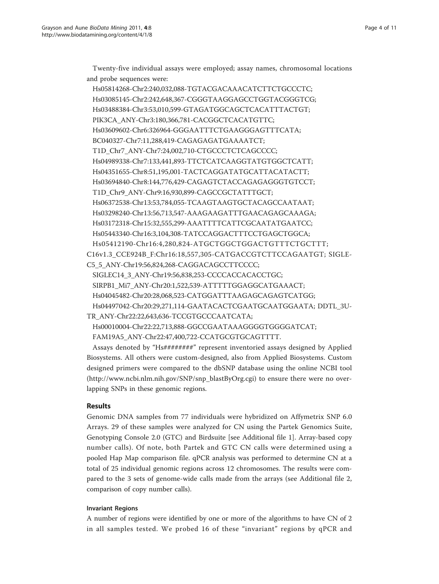Twenty-five individual assays were employed; assay names, chromosomal locations and probe sequences were:

Hs05814268-Chr2:240,032,088-TGTACGACAAACATCTTCTGCCCTC; Hs03085145-Chr2:242,648,367-CGGGTAAGGAGCCTGGTACGGGTCG; Hs03488384-Chr3:53,010,599-GTAGATGGCAGCTCACATTTACTGT; PIK3CA\_ANY-Chr3:180,366,781-CACGGCTCACATGTTC; Hs03609602-Chr6:326964-GGGAATTTCTGAAGGGAGTTTCATA; BC040327-Chr7:11,288,419-CAGAGAGATGAAAATCT; T1D\_Chr7\_ANY-Chr7:24,002,710-CTGCCCTCTCAGCCCC; Hs04989338-Chr7:133,441,893-TTCTCATCAAGGTATGTGGCTCATT; Hs04351655-Chr8:51,195,001-TACTCAGGATATGCATTACATACTT; Hs03694840-Chr8:144,776,429-CAGAGTCTACCAGAGAGGGTGTCCT; T1D Chr9 ANY-Chr9:16,930,899-CAGCCGCTATTTGCT; Hs06372538-Chr13:53,784,055-TCAAGTAAGTGCTACAGCCAATAAT; Hs03298240-Chr13:56,713,547-AAAGAAGATTTGAACAGAGCAAAGA; Hs03172318-Chr15:32,555,299-AAATTTTCATTCGCAATATGAATCC; Hs05443340-Chr16:3,104,308-TATCCAGGACTTTCCTGAGCTGGCA; Hs05412190-Chr16:4,280,824-ATGCTGGCTGGACTGTTTCTGCTTT; C16v1.3\_CCE924B\_F:Chr16:18,557,305-CATGACCGTCTTCCAGAATGT; SIGLE-C5\_5\_ANY-Chr19:56,824,268-CAGGACAGCCTTCCCC; SIGLEC14\_3\_ANY-Chr19:56,838,253-CCCCACCACACCTGC; SIRPB1\_Mi7\_ANY-Chr20:1,522,539-ATTTTTGGAGGCATGAAACT; Hs04045482-Chr20:28,068,523-CATGGATTTAAGAGCAGAGTCATGG; Hs04497042-Chr20:29,271,114-GAATACACTCGAATGCAATGGAATA; DDTL\_3U-TR\_ANY-Chr22:22,643,636-TCCGTGCCCAATCATA; Hs00010004-Chr22:22,713,888-GGCCGAATAAAGGGGTGGGGATCAT; FAM19A5\_ANY-Chr22:47,400,722-CCATGCGTGCAGTTTT. Assays denoted by "Hs########" represent inventoried assays designed by Applied

Biosystems. All others were custom-designed, also from Applied Biosystems. Custom designed primers were compared to the dbSNP database using the online NCBI tool ([http://www.ncbi.nlm.nih.gov/SNP/snp\\_blastByOrg.cgi\)](http://www.ncbi.nlm.nih.gov/SNP/snp_blastByOrg.cgi) to ensure there were no overlapping SNPs in these genomic regions.

# Results

Genomic DNA samples from 77 individuals were hybridized on Affymetrix SNP 6.0 Arrays. 29 of these samples were analyzed for CN using the Partek Genomics Suite, Genotyping Console 2.0 (GTC) and Birdsuite [see Additional file [1](#page-9-0)]. Array-based copy number calls). Of note, both Partek and GTC CN calls were determined using a pooled Hap Map comparison file. qPCR analysis was performed to determine CN at a total of 25 individual genomic regions across 12 chromosomes. The results were compared to the 3 sets of genome-wide calls made from the arrays (see Additional file [2](#page-9-0), comparison of copy number calls).

# Invariant Regions

A number of regions were identified by one or more of the algorithms to have CN of 2 in all samples tested. We probed 16 of these "invariant" regions by qPCR and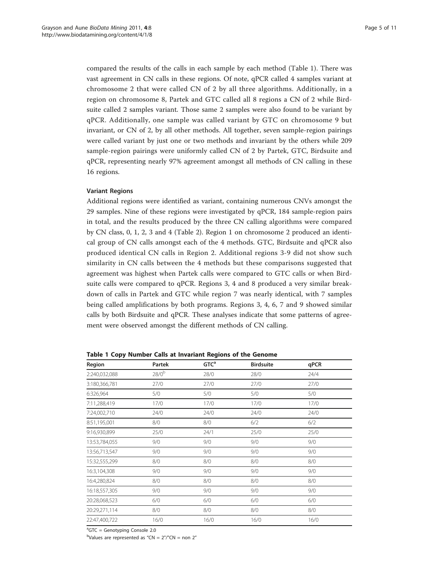compared the results of the calls in each sample by each method (Table 1). There was vast agreement in CN calls in these regions. Of note, qPCR called 4 samples variant at chromosome 2 that were called CN of 2 by all three algorithms. Additionally, in a region on chromosome 8, Partek and GTC called all 8 regions a CN of 2 while Birdsuite called 2 samples variant. Those same 2 samples were also found to be variant by qPCR. Additionally, one sample was called variant by GTC on chromosome 9 but invariant, or CN of 2, by all other methods. All together, seven sample-region pairings were called variant by just one or two methods and invariant by the others while 209 sample-region pairings were uniformly called CN of 2 by Partek, GTC, Birdsuite and qPCR, representing nearly 97% agreement amongst all methods of CN calling in these 16 regions.

## Variant Regions

Additional regions were identified as variant, containing numerous CNVs amongst the 29 samples. Nine of these regions were investigated by qPCR, 184 sample-region pairs in total, and the results produced by the three CN calling algorithms were compared by CN class, 0, 1, 2, 3 and 4 (Table [2\)](#page-5-0). Region 1 on chromosome 2 produced an identical group of CN calls amongst each of the 4 methods. GTC, Birdsuite and qPCR also produced identical CN calls in Region 2. Additional regions 3-9 did not show such similarity in CN calls between the 4 methods but these comparisons suggested that agreement was highest when Partek calls were compared to GTC calls or when Birdsuite calls were compared to qPCR. Regions 3, 4 and 8 produced a very similar breakdown of calls in Partek and GTC while region 7 was nearly identical, with 7 samples being called amplifications by both programs. Regions 3, 4, 6, 7 and 9 showed similar calls by both Birdsuite and qPCR. These analyses indicate that some patterns of agreement were observed amongst the different methods of CN calling.

Table 1 Copy Number Calls at Invariant Regions of the Genome

| Region        | GTC <sup>a</sup><br>Partek<br><b>Birdsuite</b> |      | qPCR |      |  |
|---------------|------------------------------------------------|------|------|------|--|
| 2:240,032,088 | 28/0 <sup>b</sup>                              | 28/0 | 28/0 | 24/4 |  |
| 3:180,366,781 | 27/0                                           | 27/0 | 27/0 | 27/0 |  |
| 6:326,964     | 5/0                                            | 5/0  | 5/0  | 5/0  |  |
| 7:11,288,419  | 17/0                                           | 17/0 | 17/0 | 17/0 |  |
| 7:24,002,710  | 24/0                                           | 24/0 | 24/0 | 24/0 |  |
| 8:51,195,001  | 8/0                                            | 8/0  | 6/2  | 6/2  |  |
| 9:16,930,899  | 25/0                                           | 24/1 | 25/0 | 25/0 |  |
| 13:53,784,055 | 9/0                                            | 9/0  | 9/0  | 9/0  |  |
| 13:56,713,547 | 9/0                                            | 9/0  | 9/0  | 9/0  |  |
| 15:32,555,299 | 8/0                                            | 8/0  | 8/0  | 8/0  |  |
| 16:3,104,308  | 9/0                                            | 9/0  | 9/0  | 9/0  |  |
| 16:4,280,824  | 8/0                                            | 8/0  | 8/0  | 8/0  |  |
| 16:18,557,305 | 9/0                                            | 9/0  | 9/0  | 9/0  |  |
| 20:28,068,523 | 6/0                                            | 6/0  | 6/0  | 6/0  |  |
| 20:29,271,114 | 8/0                                            | 8/0  | 8/0  | 8/0  |  |
| 22:47,400,722 | 16/0                                           | 16/0 | 16/0 | 16/0 |  |

<sup>a</sup>GTC = Genotyping Console 2.0

 $b$ Values are represented as "CN =  $2$ "/"CN = non  $2$ "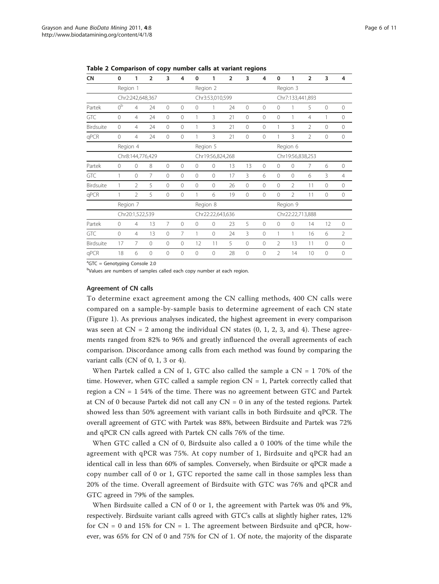| <b>CN</b>  | $\mathbf 0$          | 1                        | $\overline{2}$ | 3               | 4              | 0            | 1                | $\overline{2}$ | 3            | 4                | $\mathbf 0$      | 1              | $\overline{2}$ | 3              | 4              |
|------------|----------------------|--------------------------|----------------|-----------------|----------------|--------------|------------------|----------------|--------------|------------------|------------------|----------------|----------------|----------------|----------------|
|            | Region 1             |                          |                |                 |                | Region 2     |                  |                | Region 3     |                  |                  |                |                |                |                |
|            |                      | Chr2:242,648,367         |                |                 |                |              | Chr3:53,010,599  |                |              |                  | Chr7:133,441,893 |                |                |                |                |
| Partek     | 0 <sup>b</sup>       | $\overline{4}$           | 24             | $\circ$         | $\overline{0}$ | $\mathbf{0}$ | 1                | 24             | $\mathbf{0}$ | $\mathbf 0$      | $\mathbf 0$      |                | 5              | $\overline{0}$ | $\mathbf{0}$   |
| <b>GTC</b> | $\mathbf{0}$         | $\overline{4}$           | 24             | $\mathbf 0$     | $\circ$        | 1            | 3                | 21             | $\mathbf{0}$ | $\mathbf{0}$     | $\mathbf 0$      | 1              | $\overline{4}$ | 1              | $\circ$        |
| Birdsuite  | $\Omega$             | $\overline{4}$           | 24             | $\circ$         | $\circ$        |              | 3                | 21             | $\mathbf{0}$ | $\overline{0}$   | 1                | 3              | $\overline{2}$ | $\overline{0}$ | $\mathbf{0}$   |
| qPCR       | $\mathbf{0}$         | 4                        | 24             | $\mathbf 0$     | $\overline{0}$ |              | 3                | 21             | 0            | $\mathbf{0}$     |                  | 3              | $\mathfrak{D}$ | 0              | $\mathbf{0}$   |
|            | Region 4<br>Region 5 |                          |                |                 |                |              |                  |                |              | Region 6         |                  |                |                |                |                |
|            |                      | Chr8:144,776,429         |                |                 |                |              | Chr19:56,824,268 |                |              | Chr19:56,838,253 |                  |                |                |                |                |
| Partek     | $\Omega$             | 0                        | 8              | $\mathbf 0$     | $\Omega$       | $\Omega$     | $\Omega$         | 13             | 13           | $\mathbf 0$      | $\circ$          | $\Omega$       | 7              | 6              | 0              |
| GTC        | 1                    | 0                        | 7              | $\overline{()}$ | $\Omega$       | $\Omega$     | $\Omega$         | 17             | 3            | 6                | $\Omega$         | $\Omega$       | 6              | 3              | $\overline{4}$ |
| Birdsuite  | 1                    | $\overline{2}$           | 5              | $\overline{0}$  | $\Omega$       | $\Omega$     | $\Omega$         | 26             | $\bigcirc$   | $\Omega$         | $\Omega$         | $\mathfrak{D}$ | 11             | $\Omega$       | $\Omega$       |
| qPCR       | 1                    | $\overline{\mathcal{L}}$ | 5              | $\overline{0}$  | $\Omega$       | 1            | 6                | 19             | $\Omega$     | $\bigcirc$       | $\Omega$         | $\mathfrak{D}$ | 11             | $\mathbf 0$    | $\mathbf{0}$   |
|            | Region 7             |                          |                |                 |                | Region 8     |                  |                |              |                  | Region 9         |                |                |                |                |
|            |                      | Chr20:1,522,539          |                |                 |                |              | Chr22:22,643,636 |                |              | Chr22:22,713,888 |                  |                |                |                |                |
| Partek     | $\Omega$             | 4                        | 13             | $\overline{7}$  | $\Omega$       | $\Omega$     | $\Omega$         | 23             | 5            | $\mathbf{0}$     | $\mathbf{0}$     | $\Omega$       | 14             | 12             | $\mathbf{0}$   |
| <b>GTC</b> | $\Omega$             | $\overline{4}$           | 13             | $\overline{0}$  | 7              | 1            | $\Omega$         | 24             | 3            | $\mathbf{0}$     | 1                |                | 16             | 6              | $\overline{2}$ |
| Birdsuite  | 17                   | 7                        | 0              | $\overline{0}$  | $\Omega$       | 12           | 11               | 5              | $\Omega$     | $\bigcirc$       | $\mathfrak{D}$   | 13             | 11             | $\overline{0}$ | $\mathbf{0}$   |
| qPCR       | 18                   | 6                        | $\Omega$       | $\overline{0}$  | $\Omega$       | 0            | 0                | 28             | $\Omega$     | $\bigcirc$       | $\mathfrak{D}$   | 14             | 10             | $\Omega$       | $\Omega$       |

<span id="page-5-0"></span>Table 2 Comparison of copy number calls at variant regions

<sup>a</sup>GTC = Genotyping Console 2.0

<sup>b</sup>Values are numbers of samples called each copy number at each region.

#### Agreement of CN calls

To determine exact agreement among the CN calling methods, 400 CN calls were compared on a sample-by-sample basis to determine agreement of each CN state (Figure [1](#page-6-0)). As previous analyses indicated, the highest agreement in every comparison was seen at  $CN = 2$  among the individual CN states  $(0, 1, 2, 3, \text{ and } 4)$ . These agreements ranged from 82% to 96% and greatly influenced the overall agreements of each comparison. Discordance among calls from each method was found by comparing the variant calls (CN of 0, 1, 3 or 4).

When Partek called a CN of 1, GTC also called the sample a  $CN = 170\%$  of the time. However, when GTC called a sample region  $CN = 1$ , Partek correctly called that region a CN = 1 54% of the time. There was no agreement between GTC and Partek at CN of 0 because Partek did not call any CN = 0 in any of the tested regions. Partek showed less than 50% agreement with variant calls in both Birdsuite and qPCR. The overall agreement of GTC with Partek was 88%, between Birdsuite and Partek was 72% and qPCR CN calls agreed with Partek CN calls 76% of the time.

When GTC called a CN of 0, Birdsuite also called a 0 100% of the time while the agreement with qPCR was 75%. At copy number of 1, Birdsuite and qPCR had an identical call in less than 60% of samples. Conversely, when Birdsuite or qPCR made a copy number call of 0 or 1, GTC reported the same call in those samples less than 20% of the time. Overall agreement of Birdsuite with GTC was 76% and qPCR and GTC agreed in 79% of the samples.

When Birdsuite called a CN of 0 or 1, the agreement with Partek was 0% and 9%, respectively. Birdsuite variant calls agreed with GTC's calls at slightly higher rates, 12% for  $CN = 0$  and 15% for  $CN = 1$ . The agreement between Birdsuite and qPCR, however, was 65% for CN of 0 and 75% for CN of 1. Of note, the majority of the disparate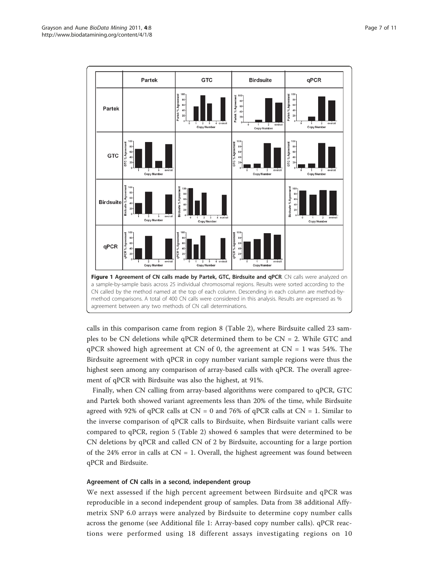<span id="page-6-0"></span>

calls in this comparison came from region 8 (Table [2](#page-5-0)), where Birdsuite called 23 samples to be CN deletions while qPCR determined them to be CN = 2. While GTC and  $qPCR$  showed high agreement at CN of 0, the agreement at CN = 1 was 54%. The Birdsuite agreement with qPCR in copy number variant sample regions were thus the highest seen among any comparison of array-based calls with qPCR. The overall agreement of qPCR with Birdsuite was also the highest, at 91%.

Finally, when CN calling from array-based algorithms were compared to qPCR, GTC and Partek both showed variant agreements less than 20% of the time, while Birdsuite agreed with 92% of qPCR calls at  $CN = 0$  and 76% of qPCR calls at  $CN = 1$ . Similar to the inverse comparison of qPCR calls to Birdsuite, when Birdsuite variant calls were compared to qPCR, region 5 (Table [2\)](#page-5-0) showed 6 samples that were determined to be CN deletions by qPCR and called CN of 2 by Birdsuite, accounting for a large portion of the 24% error in calls at  $CN = 1$ . Overall, the highest agreement was found between qPCR and Birdsuite.

# Agreement of CN calls in a second, independent group

We next assessed if the high percent agreement between Birdsuite and qPCR was reproducible in a second independent group of samples. Data from 38 additional Affymetrix SNP 6.0 arrays were analyzed by Birdsuite to determine copy number calls across the genome (see Additional file [1:](#page-9-0) Array-based copy number calls). qPCR reactions were performed using 18 different assays investigating regions on 10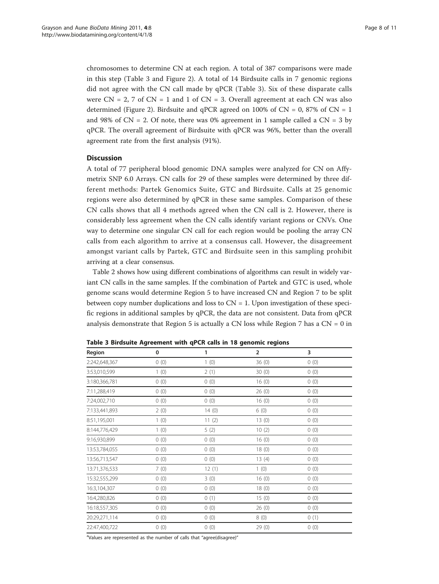chromosomes to determine CN at each region. A total of 387 comparisons were made in this step (Table 3 and Figure [2\)](#page-8-0). A total of 14 Birdsuite calls in 7 genomic regions did not agree with the CN call made by qPCR (Table 3). Six of these disparate calls were  $CN = 2$ , 7 of  $CN = 1$  and 1 of  $CN = 3$ . Overall agreement at each  $CN$  was also determined (Figure [2\)](#page-8-0). Birdsuite and qPCR agreed on 100% of  $CN = 0$ , 87% of  $CN = 1$ and 98% of  $CN = 2$ . Of note, there was 0% agreement in 1 sample called a  $CN = 3$  by qPCR. The overall agreement of Birdsuite with qPCR was 96%, better than the overall agreement rate from the first analysis (91%).

# **Discussion**

A total of 77 peripheral blood genomic DNA samples were analyzed for CN on Affymetrix SNP 6.0 Arrays. CN calls for 29 of these samples were determined by three different methods: Partek Genomics Suite, GTC and Birdsuite. Calls at 25 genomic regions were also determined by qPCR in these same samples. Comparison of these CN calls shows that all 4 methods agreed when the CN call is 2. However, there is considerably less agreement when the CN calls identify variant regions or CNVs. One way to determine one singular CN call for each region would be pooling the array CN calls from each algorithm to arrive at a consensus call. However, the disagreement amongst variant calls by Partek, GTC and Birdsuite seen in this sampling prohibit arriving at a clear consensus.

Table [2](#page-5-0) shows how using different combinations of algorithms can result in widely variant CN calls in the same samples. If the combination of Partek and GTC is used, whole genome scans would determine Region 5 to have increased CN and Region 7 to be split between copy number duplications and loss to  $CN = 1$ . Upon investigation of these specific regions in additional samples by qPCR, the data are not consistent. Data from qPCR analysis demonstrate that Region 5 is actually a CN loss while Region 7 has a  $CN = 0$  in

| Region        | $\mathbf 0$ | 1     | $\overline{2}$ | 3    |
|---------------|-------------|-------|----------------|------|
| 2:242,648,367 | 0(0)        | 1(0)  | 36(0)          | 0(0) |
| 3:53,010,599  | 1(0)        | 2(1)  | 30(0)          | 0(0) |
| 3:180,366,781 | 0(0)        | 0(0)  | 16(0)          | 0(0) |
| 7:11,288,419  | 0(0)        | 0(0)  | 26(0)          | 0(0) |
| 7:24,002,710  | 0(0)        | 0(0)  | 16(0)          | 0(0) |
| 7:133,441,893 | 2(0)        | 14(0) | 6(0)           | 0(0) |
| 8:51,195,001  | 1(0)        | 11(2) | 13(0)          | 0(0) |
| 8:144,776,429 | 1(0)        | 5(2)  | 10(2)          | 0(0) |
| 9:16,930,899  | 0(0)        | 0(0)  | 16(0)          | 0(0) |
| 13:53,784,055 | 0(0)        | 0(0)  | 18(0)          | 0(0) |
| 13:56,713,547 | 0(0)        | 0(0)  | 13(4)          | 0(0) |
| 13:71,376,533 | 7(0)        | 12(1) | 1(0)           | 0(0) |
| 15:32,555,299 | 0(0)        | 3(0)  | 16(0)          | 0(0) |
| 16:3,104,307  | 0(0)        | 0(0)  | 18(0)          | 0(0) |
| 16:4,280,826  | 0(0)        | 0(1)  | 15(0)          | 0(0) |
| 16:18,557,305 | 0(0)        | 0(0)  | 26(0)          | 0(0) |
| 20:29,271,114 | 0(0)        | 0(0)  | 8(0)           | 0(1) |
| 22:47,400,722 | 0(0)        | 0(0)  | 29 (0)         | 0(0) |

Table 3 Birdsuite Agreement with qPCR calls in 18 genomic regions

<sup>a</sup>Values are represented as the number of calls that "agree(disagree)"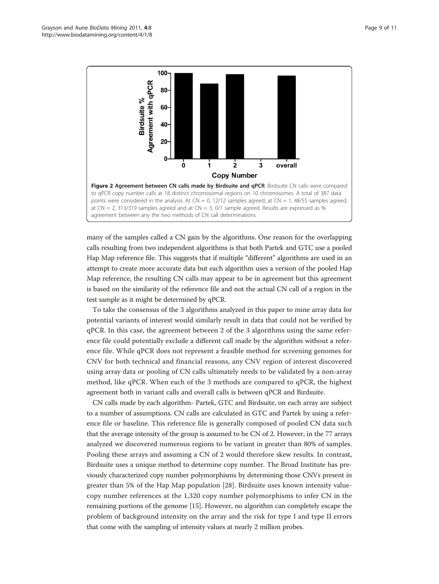<span id="page-8-0"></span>

many of the samples called a CN gain by the algorithms. One reason for the overlapping calls resulting from two independent algorithms is that both Partek and GTC use a pooled Hap Map reference file. This suggests that if multiple "different" algorithms are used in an attempt to create more accurate data but each algorithm uses a version of the pooled Hap Map reference, the resulting CN calls may appear to be in agreement but this agreement is based on the similarity of the reference file and not the actual CN call of a region in the test sample as it might be determined by qPCR.

To take the consensus of the 3 algorithms analyzed in this paper to mine array data for potential variants of interest would similarly result in data that could not be verified by qPCR. In this case, the agreement between 2 of the 3 algorithms using the same reference file could potentially exclude a different call made by the algorithm without a reference file. While qPCR does not represent a feasible method for screening genomes for CNV for both technical and financial reasons, any CNV region of interest discovered using array data or pooling of CN calls ultimately needs to be validated by a non-array method, like qPCR. When each of the 3 methods are compared to qPCR, the highest agreement both in variant calls and overall calls is between qPCR and Birdsuite.

CN calls made by each algorithm- Partek, GTC and Birdsuite, on each array are subject to a number of assumptions. CN calls are calculated in GTC and Partek by using a reference file or baseline. This reference file is generally composed of pooled CN data such that the average intensity of the group is assumed to be CN of 2. However, in the 77 arrays analyzed we discovered numerous regions to be variant in greater than 80% of samples. Pooling these arrays and assuming a CN of 2 would therefore skew results. In contrast, Birdsuite uses a unique method to determine copy number. The Broad Institute has previously characterized copy number polymorphisms by determining those CNVs present in greater than 5% of the Hap Map population [\[28\]](#page-10-0). Birdsuite uses known intensity valuecopy number references at the 1,320 copy number polymorphisms to infer CN in the remaining portions of the genome [\[15\]](#page-10-0). However, no algorithm can completely escape the problem of background intensity on the array and the risk for type I and type II errors that come with the sampling of intensity values at nearly 2 million probes.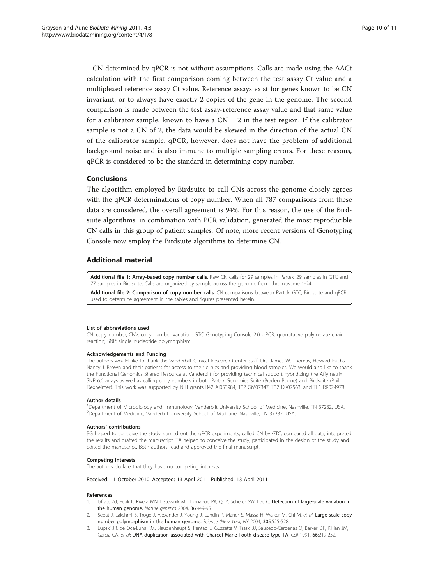<span id="page-9-0"></span>CN determined by qPCR is not without assumptions. Calls are made using the  $\Delta\Delta$ Ct calculation with the first comparison coming between the test assay Ct value and a multiplexed reference assay Ct value. Reference assays exist for genes known to be CN invariant, or to always have exactly 2 copies of the gene in the genome. The second comparison is made between the test assay-reference assay value and that same value for a calibrator sample, known to have a  $CN = 2$  in the test region. If the calibrator sample is not a CN of 2, the data would be skewed in the direction of the actual CN of the calibrator sample. qPCR, however, does not have the problem of additional background noise and is also immune to multiple sampling errors. For these reasons, qPCR is considered to be the standard in determining copy number.

# Conclusions

The algorithm employed by Birdsuite to call CNs across the genome closely agrees with the qPCR determinations of copy number. When all 787 comparisons from these data are considered, the overall agreement is 94%. For this reason, the use of the Birdsuite algorithms, in combination with PCR validation, generated the most reproducible CN calls in this group of patient samples. Of note, more recent versions of Genotyping Console now employ the Birdsuite algorithms to determine CN.

## Additional material

[Additional file 1:](http://www.biomedcentral.com/content/supplementary/1756-0381-4-8-S1.XLS) Array-based copy number calls. Raw CN calls for 29 samples in Partek, 29 samples in GTC and 77 samples in Birdsuite. Calls are organized by sample across the genome from chromosome 1-24. [Additional file 2: C](http://www.biomedcentral.com/content/supplementary/1756-0381-4-8-S2.XLS)omparison of copy number calls. CN comparisons between Partek, GTC, Birdsuite and qPCR

#### List of abbreviations used

CN: copy number; CNV: copy number variation; GTC: Genotyping Console 2.0; qPCR: quantitative polymerase chain reaction; SNP: single nucleotide polymorphism

#### Acknowledgements and Funding

The authors would like to thank the Vanderbilt Clinical Research Center staff, Drs. James W. Thomas, Howard Fuchs, Nancy J. Brown and their patients for access to their clinics and providing blood samples. We would also like to thank the Functional Genomics Shared Resource at Vanderbilt for providing technical support hybridizing the Affymetrix SNP 6.0 arrays as well as calling copy numbers in both Partek Genomics Suite (Braden Boone) and Birdsuite (Phil Dexheimer). This work was supported by NIH grants R42 AI053984, T32 GM07347, T32 DK07563, and TL1 RR024978.

#### Author details

<sup>1</sup>Department of Microbiology and Immunology, Vanderbilt University School of Medicine, Nashville, TN 37232, USA. <sup>2</sup>Department of Medicine, Vanderbilt University School of Medicine, Nashville, TN 37232, USA.

#### Authors' contributions

BG helped to conceive the study, carried out the qPCR experiments, called CN by GTC, compared all data, interpreted the results and drafted the manuscript. TA helped to conceive the study, participated in the design of the study and edited the manuscript. Both authors read and approved the final manuscript.

#### Competing interests

The authors declare that they have no competing interests.

## Received: 11 October 2010 Accepted: 13 April 2011 Published: 13 April 2011

used to determine agreement in the tables and figures presented herein.

#### References

- lafrate AJ, Feuk L, Rivera MN, Listewnik ML, Donahoe PK, Qi Y, Scherer SW, Lee C: [Detection of large-scale variation in](http://www.ncbi.nlm.nih.gov/pubmed/15286789?dopt=Abstract) [the human genome.](http://www.ncbi.nlm.nih.gov/pubmed/15286789?dopt=Abstract) Nature genetics 2004, 36:949-951.
- 2. Sebat J, Lakshmi B, Troge J, Alexander J, Young J, Lundin P, Maner S, Massa H, Walker M, Chi M, et al: Large-scale copy number polymorphism in the human genome. Science (New York, NY 2004, 305:525-528.
- 3. Lupski JR, de Oca-Luna RM, Slaugenhaupt S, Pentao L, Guzzetta V, Trask BJ, Saucedo-Cardenas O, Barker DF, Killian JM, Garcia CA, et al: [DNA duplication associated with Charcot-Marie-Tooth disease type 1A.](http://www.ncbi.nlm.nih.gov/pubmed/1677316?dopt=Abstract) Cell 1991, 66:219-232.